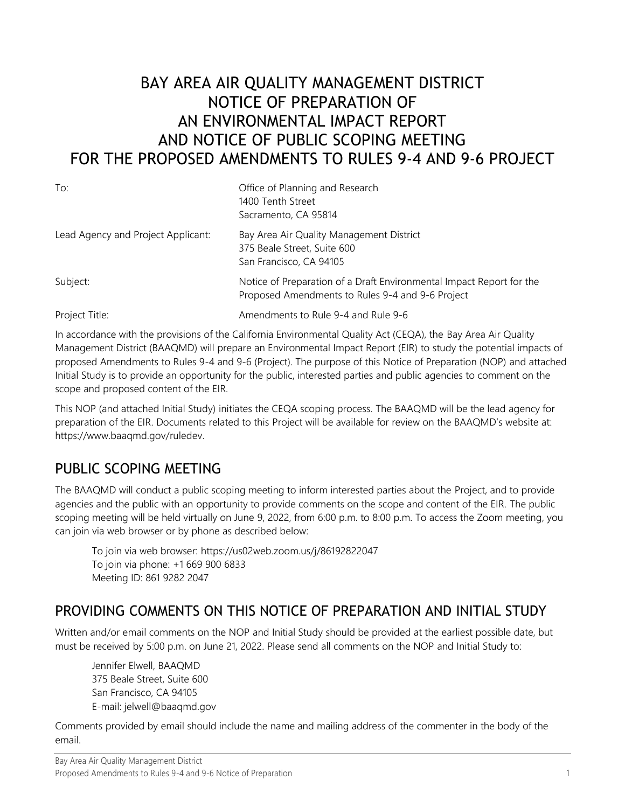# BAY AREA AIR QUALITY MANAGEMENT DISTRICT NOTICE OF PREPARATION OF AN ENVIRONMENTAL IMPACT REPORT AND NOTICE OF PUBLIC SCOPING MEETING FOR THE PROPOSED AMENDMENTS TO RULES 9-4 AND 9-6 PROJECT

| To:                                | Office of Planning and Research<br>1400 Tenth Street<br>Sacramento, CA 95814                                             |
|------------------------------------|--------------------------------------------------------------------------------------------------------------------------|
| Lead Agency and Project Applicant: | Bay Area Air Quality Management District<br>375 Beale Street, Suite 600<br>San Francisco, CA 94105                       |
| Subject:                           | Notice of Preparation of a Draft Environmental Impact Report for the<br>Proposed Amendments to Rules 9-4 and 9-6 Project |
| Project Title:                     | Amendments to Rule 9-4 and Rule 9-6                                                                                      |

In accordance with the provisions of the California Environmental Quality Act (CEQA), the Bay Area Air Quality Management District (BAAQMD) will prepare an Environmental Impact Report (EIR) to study the potential impacts of proposed Amendments to Rules 9-4 and 9-6 (Project). The purpose of this Notice of Preparation (NOP) and attached Initial Study is to provide an opportunity for the public, interested parties and public agencies to comment on the scope and proposed content of the EIR.

This NOP (and attached Initial Study) initiates the CEQA scoping process. The BAAQMD will be the lead agency for preparation of the EIR. Documents related to this Project will be available for review on the BAAQMD's website at: https://www.baaqmd.gov/ruledev.

### PUBLIC SCOPING MEETING

The BAAQMD will conduct a public scoping meeting to inform interested parties about the Project, and to provide agencies and the public with an opportunity to provide comments on the scope and content of the EIR. The public scoping meeting will be held virtually on June 9, 2022, from 6:00 p.m. to 8:00 p.m. [To](https://baaqmd.sharepoint.com/sites/RulemakingEffortsOpenTeam/Shared%20Documents/Building%20Appliance%20Regulation%20Internal%20Workgroup/1_Orange%20Folder%20NOP%20IS/To) access the Zoom meeting, you can join via web browser or by phone as described below:

To join via web browser: <https://us02web.zoom.us/j/86192822047> To join via phone: +1 669 900 6833 Meeting ID: 861 9282 2047

### PROVIDING COMMENTS ON THIS NOTICE OF PREPARATION AND INITIAL STUDY

Written and/or email comments on the NOP and Initial Study should be provided at the earliest possible date, but must be received by 5:00 p.m. on June 21, 2022. Please send all comments on the NOP and Initial Study to:

Jennifer Elwell, BAAQMD 375 Beale Street, Suite 600 San Francisco, CA 94105 E-mail: jelwell@baaqmd.gov

Comments provided by email should include the name and mailing address of the commenter in the body of the email.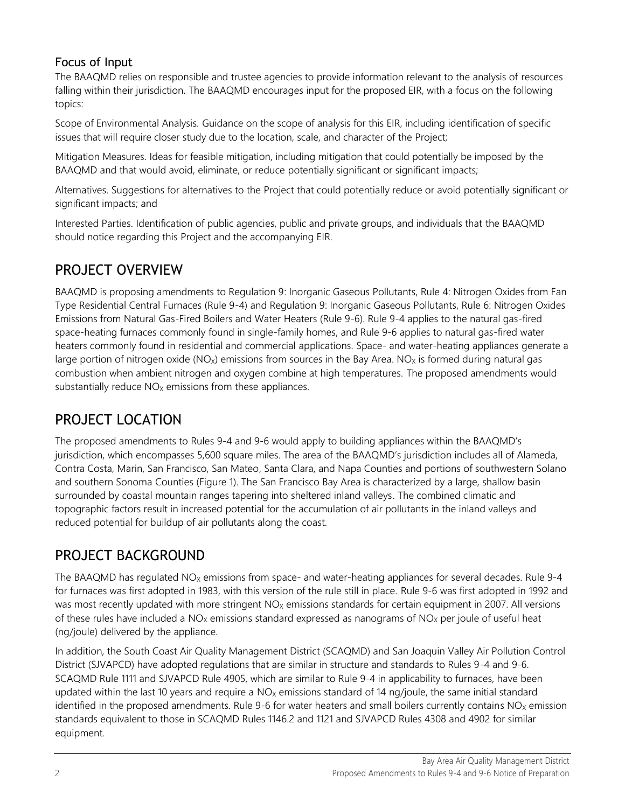### Focus of Input

The BAAQMD relies on responsible and trustee agencies to provide information relevant to the analysis of resources falling within their jurisdiction. The BAAQMD encourages input for the proposed EIR, with a focus on the following topics:

Scope of Environmental Analysis. Guidance on the scope of analysis for this EIR, including identification of specific issues that will require closer study due to the location, scale, and character of the Project;

Mitigation Measures. Ideas for feasible mitigation, including mitigation that could potentially be imposed by the BAAQMD and that would avoid, eliminate, or reduce potentially significant or significant impacts;

Alternatives. Suggestions for alternatives to the Project that could potentially reduce or avoid potentially significant or significant impacts; and

Interested Parties. Identification of public agencies, public and private groups, and individuals that the BAAQMD should notice regarding this Project and the accompanying EIR.

## PROJECT OVERVIEW

BAAQMD is proposing amendments to Regulation 9: Inorganic Gaseous Pollutants, Rule 4: Nitrogen Oxides from Fan Type Residential Central Furnaces (Rule 9-4) and Regulation 9: Inorganic Gaseous Pollutants, Rule 6: Nitrogen Oxides Emissions from Natural Gas-Fired Boilers and Water Heaters (Rule 9-6). Rule 9-4 applies to the natural gas-fired space-heating furnaces commonly found in single-family homes, and Rule 9-6 applies to natural gas-fired water heaters commonly found in residential and commercial applications. Space- and water-heating appliances generate a large portion of nitrogen oxide (NO<sub>X</sub>) emissions from sources in the Bay Area. NO<sub>X</sub> is formed during natural gas combustion when ambient nitrogen and oxygen combine at high temperatures. The proposed amendments would substantially reduce  $NO<sub>x</sub>$  emissions from these appliances.

# PROJECT LOCATION

The proposed amendments to Rules 9-4 and 9-6 would apply to building appliances within the BAAQMD's jurisdiction, which encompasses 5,600 square miles. The area of the BAAQMD's jurisdiction includes all of Alameda, Contra Costa, Marin, San Francisco, San Mateo, Santa Clara, and Napa Counties and portions of southwestern Solano and southern Sonoma Counties (Figure 1). The San Francisco Bay Area is characterized by a large, shallow basin surrounded by coastal mountain ranges tapering into sheltered inland valleys. The combined climatic and topographic factors result in increased potential for the accumulation of air pollutants in the inland valleys and reduced potential for buildup of air pollutants along the coast.

# PROJECT BACKGROUND

The BAAQMD has regulated  $NO<sub>X</sub>$  emissions from space- and water-heating appliances for several decades. Rule 9-4 for furnaces was first adopted in 1983, with this version of the rule still in place. Rule 9-6 was first adopted in 1992 and was most recently updated with more stringent  $NO<sub>X</sub>$  emissions standards for certain equipment in 2007. All versions of these rules have included a  $NO<sub>X</sub>$  emissions standard expressed as nanograms of  $NO<sub>X</sub>$  per joule of useful heat (ng/joule) delivered by the appliance.

In addition, the South Coast Air Quality Management District (SCAQMD) and San Joaquin Valley Air Pollution Control District (SJVAPCD) have adopted regulations that are similar in structure and standards to Rules 9-4 and 9-6. SCAQMD Rule 1111 and SJVAPCD Rule 4905, which are similar to Rule 9-4 in applicability to furnaces, have been updated within the last 10 years and require a  $NO<sub>x</sub>$  emissions standard of 14 ng/joule, the same initial standard identified in the proposed amendments. Rule 9-6 for water heaters and small boilers currently contains  $NO<sub>x</sub>$  emission standards equivalent to those in SCAQMD Rules 1146.2 and 1121 and SJVAPCD Rules 4308 and 4902 for similar equipment.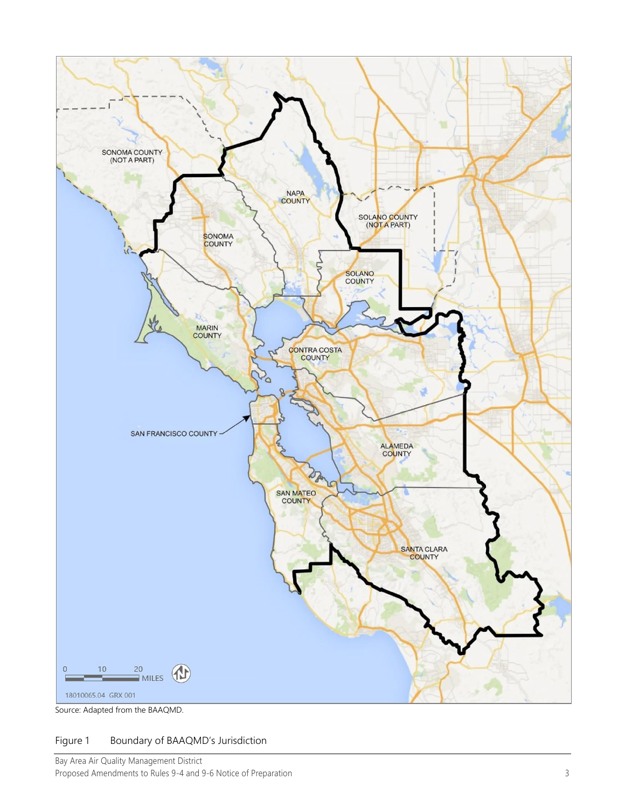

Source: Adapted from the BAAQMD.

#### Figure 1 Boundary of BAAQMD's Jurisdiction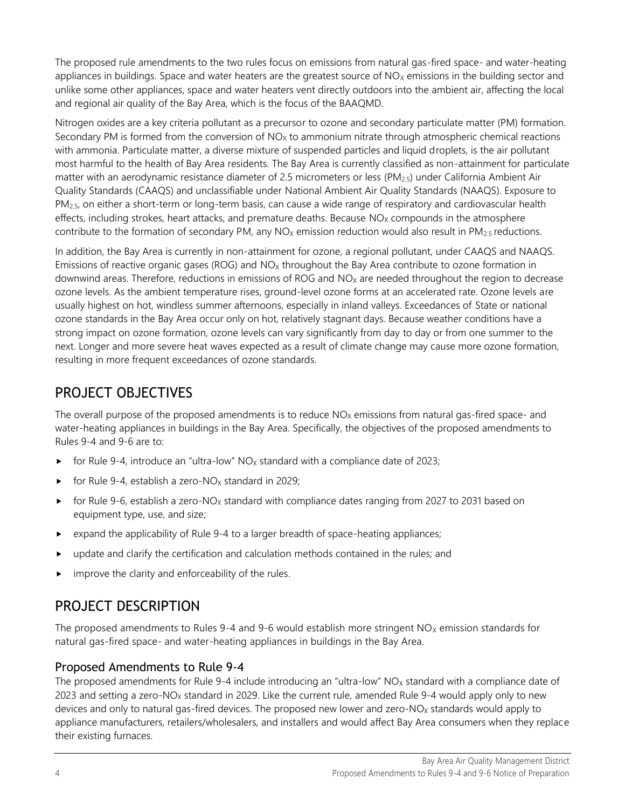The proposed rule amendments to the two rules focus on emissions from natural gas-fired space- and water-heating appliances in buildings. Space and water heaters are the greatest source of  $NO<sub>X</sub>$  emissions in the building sector and unlike some other appliances, space and water heaters vent directly outdoors into the ambient air, affecting the local and regional air quality of the Bay Area, which is the focus of the BAAQMD.

Nitrogen oxides are a key criteria pollutant as a precursor to ozone and secondary particulate matter (PM) formation. Secondary PM is formed from the conversion of  $NO<sub>X</sub>$  to ammonium nitrate through atmospheric chemical reactions with ammonia. Particulate matter, a diverse mixture of suspended particles and liquid droplets, is the air pollutant most harmful to the health of Bay Area residents. The Bay Area is currently classified as non-attainment for particulate matter with an aerodynamic resistance diameter of 2.5 micrometers or less (PM2.5) under California Ambient Air Quality Standards (CAAQS) and unclassifiable under National Ambient Air Quality Standards (NAAQS). Exposure to PM<sub>2.5</sub>, on either a short-term or long-term basis, can cause a wide range of respiratory and cardiovascular health effects, including strokes, heart attacks, and premature deaths. Because  $NO<sub>X</sub>$  compounds in the atmosphere contribute to the formation of secondary PM, any  $NO<sub>x</sub>$  emission reduction would also result in PM<sub>2.5</sub> reductions.

In addition, the Bay Area is currently in non-attainment for ozone, a regional pollutant, under CAAQS and NAAQS. Emissions of reactive organic gases (ROG) and  $NO<sub>X</sub>$  throughout the Bay Area contribute to ozone formation in downwind areas. Therefore, reductions in emissions of ROG and NO<sub>x</sub> are needed throughout the region to decrease ozone levels. As the ambient temperature rises, ground-level ozone forms at an accelerated rate. Ozone levels are usually highest on hot, windless summer afternoons, especially in inland valleys. Exceedances of State or national ozone standards in the Bay Area occur only on hot, relatively stagnant days. Because weather conditions have a strong impact on ozone formation, ozone levels can vary significantly from day to day or from one summer to the next. Longer and more severe heat waves expected as a result of climate change may cause more ozone formation, resulting in more frequent exceedances of ozone standards.

### PROJECT OBJECTIVES

The overall purpose of the proposed amendments is to reduce  $NO<sub>x</sub>$  emissions from natural gas-fired space- and water-heating appliances in buildings in the Bay Area. Specifically, the objectives of the proposed amendments to Rules 9-4 and 9-6 are to:

- For Rule 9-4, introduce an "ultra-low"  $NO<sub>x</sub>$  standard with a compliance date of 2023;
- for Rule 9-4, establish a zero-NO<sub>x</sub> standard in 2029;
- For Rule 9-6, establish a zero-NO<sub>x</sub> standard with compliance dates ranging from 2027 to 2031 based on equipment type, use, and size;
- $\triangleright$  expand the applicability of Rule 9-4 to a larger breadth of space-heating appliances;
- update and clarify the certification and calculation methods contained in the rules; and
- improve the clarity and enforceability of the rules.

### PROJECT DESCRIPTION

The proposed amendments to Rules 9-4 and 9-6 would establish more stringent  $NO<sub>X</sub>$  emission standards for natural gas-fired space- and water-heating appliances in buildings in the Bay Area.

### Proposed Amendments to Rule 9-4

The proposed amendments for Rule 9-4 include introducing an "ultra-low"  $NO<sub>x</sub>$  standard with a compliance date of 2023 and setting a zero-NO<sub>x</sub> standard in 2029. Like the current rule, amended Rule 9-4 would apply only to new devices and only to natural gas-fired devices. The proposed new lower and zero-NO<sub>X</sub> standards would apply to appliance manufacturers, retailers/wholesalers, and installers and would affect Bay Area consumers when they replace their existing furnaces.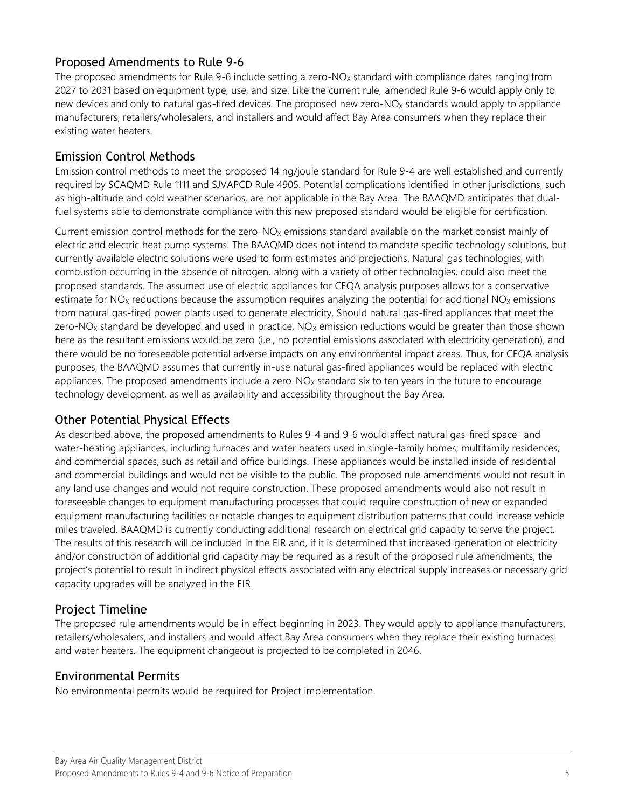### Proposed Amendments to Rule 9-6

The proposed amendments for Rule 9-6 include setting a zero-NO<sub>x</sub> standard with compliance dates ranging from 2027 to 2031 based on equipment type, use, and size. Like the current rule, amended Rule 9-6 would apply only to new devices and only to natural gas-fired devices. The proposed new zero-NO<sub>X</sub> standards would apply to appliance manufacturers, retailers/wholesalers, and installers and would affect Bay Area consumers when they replace their existing water heaters.

### Emission Control Methods

Emission control methods to meet the proposed 14 ng/joule standard for Rule 9-4 are well established and currently required by SCAQMD Rule 1111 and SJVAPCD Rule 4905. Potential complications identified in other jurisdictions, such as high-altitude and cold weather scenarios, are not applicable in the Bay Area. The BAAQMD anticipates that dualfuel systems able to demonstrate compliance with this new proposed standard would be eligible for certification.

Current emission control methods for the zero-NO<sub>x</sub> emissions standard available on the market consist mainly of electric and electric heat pump systems. The BAAQMD does not intend to mandate specific technology solutions, but currently available electric solutions were used to form estimates and projections. Natural gas technologies, with combustion occurring in the absence of nitrogen, along with a variety of other technologies, could also meet the proposed standards. The assumed use of electric appliances for CEQA analysis purposes allows for a conservative estimate for  $NO<sub>X</sub>$  reductions because the assumption requires analyzing the potential for additional  $NO<sub>X</sub>$  emissions from natural gas-fired power plants used to generate electricity. Should natural gas-fired appliances that meet the zero-NO<sub>X</sub> standard be developed and used in practice,  $NO_X$  emission reductions would be greater than those shown here as the resultant emissions would be zero (i.e., no potential emissions associated with electricity generation), and there would be no foreseeable potential adverse impacts on any environmental impact areas. Thus, for CEQA analysis purposes, the BAAQMD assumes that currently in-use natural gas-fired appliances would be replaced with electric appliances. The proposed amendments include a zero- $NQ<sub>X</sub>$  standard six to ten years in the future to encourage technology development, as well as availability and accessibility throughout the Bay Area.

### Other Potential Physical Effects

As described above, the proposed amendments to Rules 9-4 and 9-6 would affect natural gas-fired space- and water-heating appliances, including furnaces and water heaters used in single-family homes; multifamily residences; and commercial spaces, such as retail and office buildings. These appliances would be installed inside of residential and commercial buildings and would not be visible to the public. The proposed rule amendments would not result in any land use changes and would not require construction. These proposed amendments would also not result in foreseeable changes to equipment manufacturing processes that could require construction of new or expanded equipment manufacturing facilities or notable changes to equipment distribution patterns that could increase vehicle miles traveled. BAAQMD is currently conducting additional research on electrical grid capacity to serve the project. The results of this research will be included in the EIR and, if it is determined that increased generation of electricity and/or construction of additional grid capacity may be required as a result of the proposed rule amendments, the project's potential to result in indirect physical effects associated with any electrical supply increases or necessary grid capacity upgrades will be analyzed in the EIR.

### Project Timeline

The proposed rule amendments would be in effect beginning in 2023. They would apply to appliance manufacturers, retailers/wholesalers, and installers and would affect Bay Area consumers when they replace their existing furnaces and water heaters. The equipment changeout is projected to be completed in 2046.

### Environmental Permits

No environmental permits would be required for Project implementation.